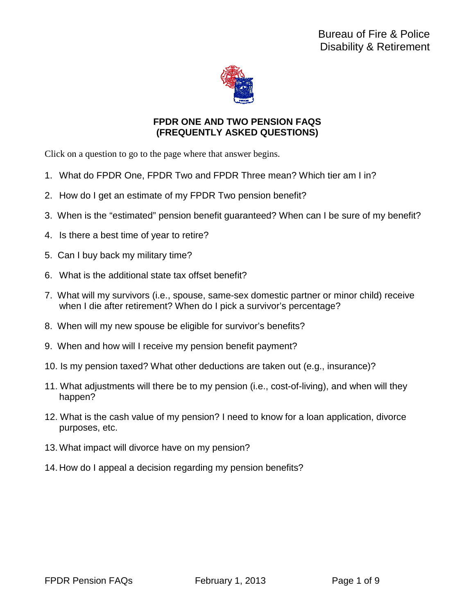

### **FPDR ONE AND TWO PENSION FAQS (FREQUENTLY ASKED QUESTIONS)**

Click on a question to go to the page where that answer begins.

- 1. What do FPDR One, FPDR Two and FPDR Three mean? Which tier am I in?
- 2. How do I get an estimate of my FPDR Two pension benefit?
- 3. When is the "estimated" pension benefit guaranteed? When can I be sure of my benefit?
- 4. Is there a best time of year to retire?
- 5. Can I buy back my military time?
- 6. What is the additional state tax offset benefit?
- 7. What will my survivors (i.e., spouse, same-sex domestic partner or minor child) receive when I die after retirement? When do I pick a survivor's percentage?
- 8. When will my new spouse be eligible for survivor's benefits?
- 9. When and how will I receive my pension benefit payment?
- 10. Is my pension taxed? What other deductions are taken out (e.g., insurance)?
- 11. What adjustments will there be to my pension (i.e., cost-of-living), and when will they happen?
- 12. What is the cash value of my pension? I need to know for a loan application, divorce purposes, etc.
- 13. What impact will divorce have on my pension?
- 14. How do I appeal a decision regarding my pension benefits?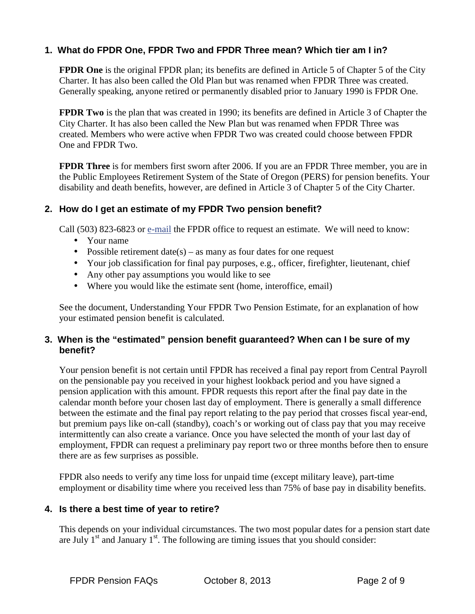# **1. What do FPDR One, FPDR Two and FPDR Three mean? Which tier am I in?**

**FPDR One** is the original FPDR plan; its benefits are defined in Article 5 of Chapter 5 of the City Charter. It has also been called the Old Plan but was renamed when FPDR Three was created. Generally speaking, anyone retired or permanently disabled prior to January 1990 is FPDR One.

**FPDR Two** is the plan that was created in 1990; its benefits are defined in Article 3 of Chapter the City Charter. It has also been called the New Plan but was renamed when FPDR Three was created. Members who were active when FPDR Two was created could choose between FPDR One and FPDR Two.

**FPDR Three** is for members first sworn after 2006. If you are an FPDR Three member, you are in the Public Employees Retirement System of the State of Oregon (PERS) for pension benefits. Your disability and death benefits, however, are defined in Article 3 of Chapter 5 of the City Charter.

#### **2. How do I get an estimate of my FPDR Two pension benefit?**

Call (503) 823-6823 or e-mail the FPDR office to request an estimate. We will need to know:

- Your name
- Possible retirement date(s) as many as four dates for one request
- Your job classification for final pay purposes, e.g., officer, firefighter, lieutenant, chief
- Any other pay assumptions you would like to see
- Where you would like the estimate sent (home, interoffice, email)

See the document, Understanding Your FPDR Two Pension Estimate, for an explanation of how your estimated pension benefit is calculated.

#### **3. When is the "estimated" pension benefit guaranteed? When can I be sure of my benefit?**

Your pension benefit is not certain until FPDR has received a final pay report from Central Payroll on the pensionable pay you received in your highest lookback period and you have signed a pension application with this amount. FPDR requests this report after the final pay date in the calendar month before your chosen last day of employment. There is generally a small difference between the estimate and the final pay report relating to the pay period that crosses fiscal year-end, but premium pays like on-call (standby), coach's or working out of class pay that you may receive intermittently can also create a variance. Once you have selected the month of your last day of employment, FPDR can request a preliminary pay report two or three months before then to ensure there are as few surprises as possible.

FPDR also needs to verify any time loss for unpaid time (except military leave), part-time employment or disability time where you received less than 75% of base pay in disability benefits.

#### **4. Is there a best time of year to retire?**

This depends on your individual circumstances. The two most popular dates for a pension start date are July  $1<sup>st</sup>$  and January  $1<sup>st</sup>$ . The following are timing issues that you should consider: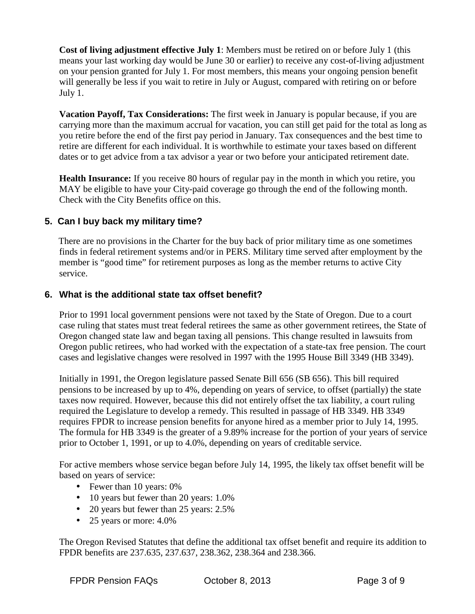**Cost of living adjustment effective July 1**: Members must be retired on or before July 1 (this means your last working day would be June 30 or earlier) to receive any cost-of-living adjustment on your pension granted for July 1. For most members, this means your ongoing pension benefit will generally be less if you wait to retire in July or August, compared with retiring on or before July 1.

**Vacation Payoff, Tax Considerations:** The first week in January is popular because, if you are carrying more than the maximum accrual for vacation, you can still get paid for the total as long as you retire before the end of the first pay period in January. Tax consequences and the best time to retire are different for each individual. It is worthwhile to estimate your taxes based on different dates or to get advice from a tax advisor a year or two before your anticipated retirement date.

**Health Insurance:** If you receive 80 hours of regular pay in the month in which you retire, you MAY be eligible to have your City-paid coverage go through the end of the following month. Check with the City Benefits office on this.

# **5. Can I buy back my military time?**

There are no provisions in the Charter for the buy back of prior military time as one sometimes finds in federal retirement systems and/or in PERS. Military time served after employment by the member is "good time" for retirement purposes as long as the member returns to active City service.

### **6. What is the additional state tax offset benefit?**

Prior to 1991 local government pensions were not taxed by the State of Oregon. Due to a court case ruling that states must treat federal retirees the same as other government retirees, the State of Oregon changed state law and began taxing all pensions. This change resulted in lawsuits from Oregon public retirees, who had worked with the expectation of a state-tax free pension. The court cases and legislative changes were resolved in 1997 with the 1995 House Bill 3349 (HB 3349).

Initially in 1991, the Oregon legislature passed Senate Bill 656 (SB 656). This bill required pensions to be increased by up to 4%, depending on years of service, to offset (partially) the state taxes now required. However, because this did not entirely offset the tax liability, a court ruling required the Legislature to develop a remedy. This resulted in passage of HB 3349. HB 3349 requires FPDR to increase pension benefits for anyone hired as a member prior to July 14, 1995. The formula for HB 3349 is the greater of a 9.89% increase for the portion of your years of service prior to October 1, 1991, or up to 4.0%, depending on years of creditable service.

For active members whose service began before July 14, 1995, the likely tax offset benefit will be based on years of service:

- Fewer than 10 years: 0%
- 10 years but fewer than 20 years: 1.0%
- 20 years but fewer than 25 years: 2.5%
- 25 years or more:  $4.0\%$

The Oregon Revised Statutes that define the additional tax offset benefit and require its addition to FPDR benefits are 237.635, 237.637, 238.362, 238.364 and 238.366.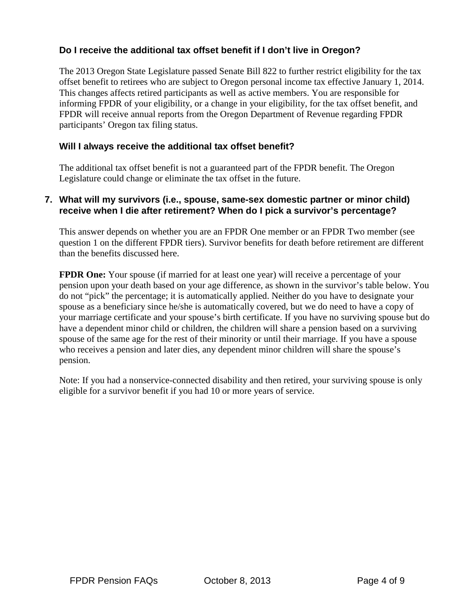# **Do I receive the additional tax offset benefit if I don't live in Oregon?**

The 2013 Oregon State Legislature passed Senate Bill 822 to further restrict eligibility for the tax offset benefit to retirees who are subject to Oregon personal income tax effective January 1, 2014. This changes affects retired participants as well as active members. You are responsible for informing FPDR of your eligibility, or a change in your eligibility, for the tax offset benefit, and FPDR will receive annual reports from the Oregon Department of Revenue regarding FPDR participants' Oregon tax filing status.

#### **Will I always receive the additional tax offset benefit?**

The additional tax offset benefit is not a guaranteed part of the FPDR benefit. The Oregon Legislature could change or eliminate the tax offset in the future.

#### **7. What will my survivors (i.e., spouse, same-sex domestic partner or minor child) receive when I die after retirement? When do I pick a survivor's percentage?**

This answer depends on whether you are an FPDR One member or an FPDR Two member (see question 1 on the different FPDR tiers). Survivor benefits for death before retirement are different than the benefits discussed here.

**FPDR One:** Your spouse (if married for at least one year) will receive a percentage of your pension upon your death based on your age difference, as shown in the survivor's table below. You do not "pick" the percentage; it is automatically applied. Neither do you have to designate your spouse as a beneficiary since he/she is automatically covered, but we do need to have a copy of your marriage certificate and your spouse's birth certificate. If you have no surviving spouse but do have a dependent minor child or children, the children will share a pension based on a surviving spouse of the same age for the rest of their minority or until their marriage. If you have a spouse who receives a pension and later dies, any dependent minor children will share the spouse's pension.

 Note: If you had a nonservice-connected disability and then retired, your surviving spouse is only eligible for a survivor benefit if you had 10 or more years of service.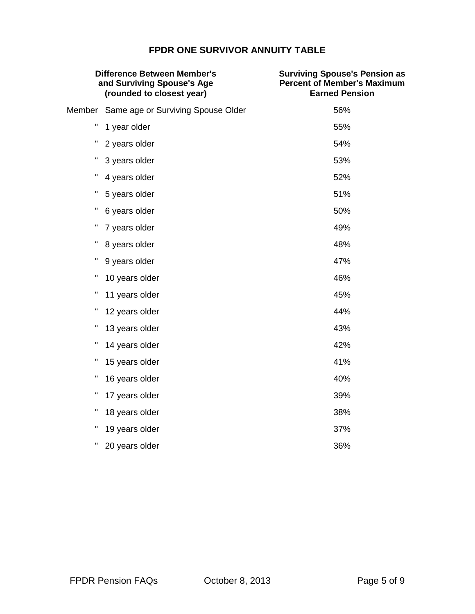# **FPDR ONE SURVIVOR ANNUITY TABLE**

| <b>Difference Between Member's</b><br>and Surviving Spouse's Age<br>(rounded to closest year) |                                    | <b>Surviving Spouse's Pension as</b><br><b>Percent of Member's Maximum</b><br><b>Earned Pension</b> |
|-----------------------------------------------------------------------------------------------|------------------------------------|-----------------------------------------------------------------------------------------------------|
| Member                                                                                        | Same age or Surviving Spouse Older | 56%                                                                                                 |
| н                                                                                             | 1 year older                       | 55%                                                                                                 |
| Π                                                                                             | 2 years older                      | 54%                                                                                                 |
| Η                                                                                             | 3 years older                      | 53%                                                                                                 |
| н                                                                                             | 4 years older                      | 52%                                                                                                 |
| н                                                                                             | 5 years older                      | 51%                                                                                                 |
| н                                                                                             | 6 years older                      | 50%                                                                                                 |
| ш                                                                                             | 7 years older                      | 49%                                                                                                 |
| н                                                                                             | 8 years older                      | 48%                                                                                                 |
| н                                                                                             | 9 years older                      | 47%                                                                                                 |
| н                                                                                             | 10 years older                     | 46%                                                                                                 |
| Η                                                                                             | 11 years older                     | 45%                                                                                                 |
| н                                                                                             | 12 years older                     | 44%                                                                                                 |
| п                                                                                             | 13 years older                     | 43%                                                                                                 |
| H                                                                                             | 14 years older                     | 42%                                                                                                 |
| Η                                                                                             | 15 years older                     | 41%                                                                                                 |
| ш                                                                                             | 16 years older                     | 40%                                                                                                 |
| Η                                                                                             | 17 years older                     | 39%                                                                                                 |
| H                                                                                             | 18 years older                     | 38%                                                                                                 |
| ш                                                                                             | 19 years older                     | 37%                                                                                                 |
| Π                                                                                             | 20 years older                     | 36%                                                                                                 |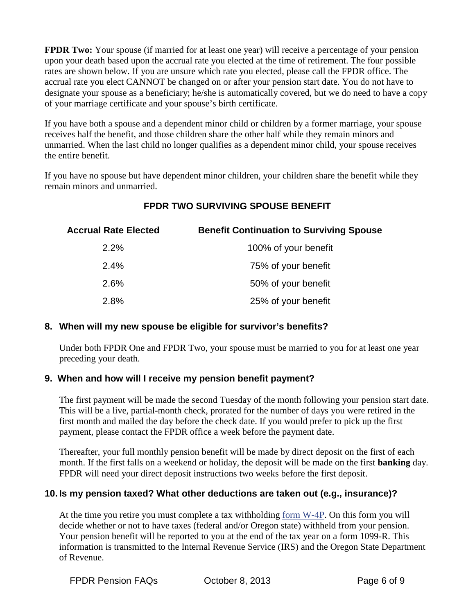**FPDR Two:** Your spouse (if married for at least one year) will receive a percentage of your pension upon your death based upon the accrual rate you elected at the time of retirement. The four possible rates are shown below. If you are unsure which rate you elected, please call the FPDR office. The accrual rate you elect CANNOT be changed on or after your pension start date. You do not have to designate your spouse as a beneficiary; he/she is automatically covered, but we do need to have a copy of your marriage certificate and your spouse's birth certificate.

If you have both a spouse and a dependent minor child or children by a former marriage, your spouse receives half the benefit, and those children share the other half while they remain minors and unmarried. When the last child no longer qualifies as a dependent minor child, your spouse receives the entire benefit.

If you have no spouse but have dependent minor children, your children share the benefit while they remain minors and unmarried.

| <b>Accrual Rate Elected</b> | <b>Benefit Continuation to Surviving Spouse</b> |
|-----------------------------|-------------------------------------------------|
| 2.2%                        | 100% of your benefit                            |
| 2.4%                        | 75% of your benefit                             |
| 2.6%                        | 50% of your benefit                             |
| 2.8%                        | 25% of your benefit                             |

# **FPDR TWO SURVIVING SPOUSE BENEFIT**

# **8. When will my new spouse be eligible for survivor's benefits?**

Under both FPDR One and FPDR Two, your spouse must be married to you for at least one year preceding your death.

# **9. When and how will I receive my pension benefit payment?**

The first payment will be made the second Tuesday of the month following your pension start date. This will be a live, partial-month check, prorated for the number of days you were retired in the first month and mailed the day before the check date. If you would prefer to pick up the first payment, please contact the FPDR office a week before the payment date.

Thereafter, your full monthly pension benefit will be made by direct deposit on the first of each month. If the first falls on a weekend or holiday, the deposit will be made on the first **banking** day. FPDR will need your direct deposit instructions two weeks before the first deposit.

# **10. Is my pension taxed? What other deductions are taken out (e.g., insurance)?**

At the time you retire you must complete a tax withholding form W-4P. On this form you will decide whether or not to have taxes (federal and/or Oregon state) withheld from your pension. Your pension benefit will be reported to you at the end of the tax year on a form 1099-R. This information is transmitted to the Internal Revenue Service (IRS) and the Oregon State Department of Revenue.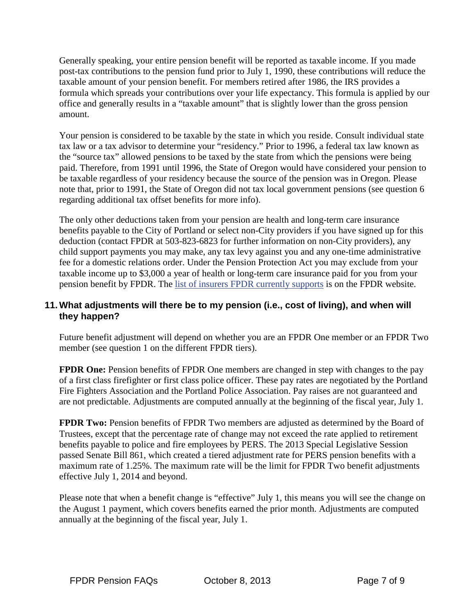Generally speaking, your entire pension benefit will be reported as taxable income. If you made post-tax contributions to the pension fund prior to July 1, 1990, these contributions will reduce the taxable amount of your pension benefit. For members retired after 1986, the IRS provides a formula which spreads your contributions over your life expectancy. This formula is applied by our office and generally results in a "taxable amount" that is slightly lower than the gross pension amount.

Your pension is considered to be taxable by the state in which you reside. Consult individual state tax law or a tax advisor to determine your "residency." Prior to 1996, a federal tax law known as the "source tax" allowed pensions to be taxed by the state from which the pensions were being paid. Therefore, from 1991 until 1996, the State of Oregon would have considered your pension to be taxable regardless of your residency because the source of the pension was in Oregon. Please note that, prior to 1991, the State of Oregon did not tax local government pensions (see question 6 regarding additional tax offset benefits for more info).

 The only other deductions taken from your pension are health and long-term care insurance benefits payable to the City of Portland or select non-City providers if you have signed up for this deduction (contact FPDR at 503-823-6823 for further information on non-City providers), any child support payments you may make, any tax levy against you and any one-time administrative fee for a domestic relations order. Under the Pension Protection Act you may exclude from your taxable income up to \$3,000 a year of health or long-term care insurance paid for you from your pension benefit by FPDR. The list of insurers FPDR currently supports is on the FPDR website.

### **11. What adjustments will there be to my pension (i.e., cost of living), and when will they happen?**

Future benefit adjustment will depend on whether you are an FPDR One member or an FPDR Two member (see question 1 on the different FPDR tiers).

**FPDR One:** Pension benefits of FPDR One members are changed in step with changes to the pay of a first class firefighter or first class police officer. These pay rates are negotiated by the Portland Fire Fighters Association and the Portland Police Association. Pay raises are not guaranteed and are not predictable. Adjustments are computed annually at the beginning of the fiscal year, July 1.

**FPDR Two:** Pension benefits of FPDR Two members are adjusted as determined by the Board of Trustees, except that the percentage rate of change may not exceed the rate applied to retirement benefits payable to police and fire employees by PERS. The 2013 Special Legislative Session passed Senate Bill 861, which created a tiered adjustment rate for PERS pension benefits with a maximum rate of 1.25%. The maximum rate will be the limit for FPDR Two benefit adjustments effective July 1, 2014 and beyond.

 Please note that when a benefit change is "effective" July 1, this means you will see the change on the August 1 payment, which covers benefits earned the prior month. Adjustments are computed annually at the beginning of the fiscal year, July 1.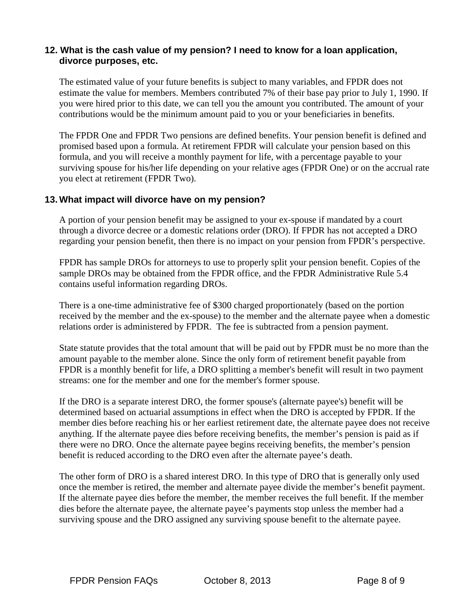#### **12. What is the cash value of my pension? I need to know for a loan application, divorce purposes, etc.**

The estimated value of your future benefits is subject to many variables, and FPDR does not estimate the value for members. Members contributed 7% of their base pay prior to July 1, 1990. If you were hired prior to this date, we can tell you the amount you contributed. The amount of your contributions would be the minimum amount paid to you or your beneficiaries in benefits.

The FPDR One and FPDR Two pensions are defined benefits. Your pension benefit is defined and promised based upon a formula. At retirement FPDR will calculate your pension based on this formula, and you will receive a monthly payment for life, with a percentage payable to your surviving spouse for his/her life depending on your relative ages (FPDR One) or on the accrual rate you elect at retirement (FPDR Two).

#### **13. What impact will divorce have on my pension?**

A portion of your pension benefit may be assigned to your ex-spouse if mandated by a court through a divorce decree or a domestic relations order (DRO). If FPDR has not accepted a DRO regarding your pension benefit, then there is no impact on your pension from FPDR's perspective.

FPDR has sample DROs for attorneys to use to properly split your pension benefit. Copies of the sample DROs may be obtained from the FPDR office, and the FPDR Administrative Rule 5.4 contains useful information regarding DROs.

There is a one-time administrative fee of \$300 charged proportionately (based on the portion received by the member and the ex-spouse) to the member and the alternate payee when a domestic relations order is administered by FPDR. The fee is subtracted from a pension payment.

State statute provides that the total amount that will be paid out by FPDR must be no more than the amount payable to the member alone. Since the only form of retirement benefit payable from FPDR is a monthly benefit for life, a DRO splitting a member's benefit will result in two payment streams: one for the member and one for the member's former spouse.

If the DRO is a separate interest DRO, the former spouse's (alternate payee's) benefit will be determined based on actuarial assumptions in effect when the DRO is accepted by FPDR. If the member dies before reaching his or her earliest retirement date, the alternate payee does not receive anything. If the alternate payee dies before receiving benefits, the member's pension is paid as if there were no DRO. Once the alternate payee begins receiving benefits, the member's pension benefit is reduced according to the DRO even after the alternate payee's death.

The other form of DRO is a shared interest DRO. In this type of DRO that is generally only used once the member is retired, the member and alternate payee divide the member's benefit payment. If the alternate payee dies before the member, the member receives the full benefit. If the member dies before the alternate payee, the alternate payee's payments stop unless the member had a surviving spouse and the DRO assigned any surviving spouse benefit to the alternate payee.